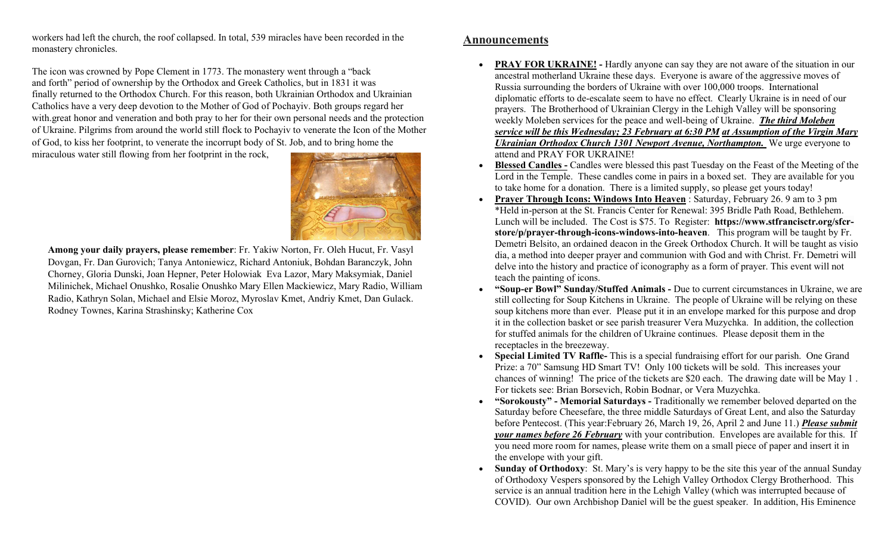workers had left the church, the roof collapsed. In total, 539 miracles have been recorded in the monastery chronicles.

The icon was crowned by Pope Clement in 1773. The monastery went through a "back and forth" period of ownership by the Orthodox and Greek Catholics, but in 1831 it was finally returned to the Orthodox Church. For this reason, both Ukrainian Orthodox and Ukrainian Catholics have a very deep devotion to the Mother of God of Pochayiv. Both groups regard her with.great honor and veneration and both pray to her for their own personal needs and the protection of Ukraine. Pilgrims from around the world still flock to Pochayiv to venerate the Icon of the Mother of God, to kiss her footprint, to venerate the incorrupt body of St. Job, and to bring home the

miraculous water still flowing from her footprint in the rock,



Among your daily prayers, please remember: Fr. Yakiw Norton, Fr. Oleh Hucut, Fr. Vasyl Dovgan, Fr. Dan Gurovich; Tanya Antoniewicz, Richard Antoniuk, Bohdan Baranczyk, John Chorney, Gloria Dunski, Joan Hepner, Peter Holowiak Eva Lazor, Mary Maksymiak, Daniel Milinichek, Michael Onushko, Rosalie Onushko Mary Ellen Mackiewicz, Mary Radio, William Radio, Kathryn Solan, Michael and Elsie Moroz, Myroslav Kmet, Andriy Kmet, Dan Gulack. Rodney Townes, Karina Strashinsky; Katherine Cox

## Announcements

- PRAY FOR UKRAINE! Hardly anyone can say they are not aware of the situation in our ancestral motherland Ukraine these days. Everyone is aware of the aggressive moves of Russia surrounding the borders of Ukraine with over 100,000 troops. International diplomatic efforts to de-escalate seem to have no effect. Clearly Ukraine is in need of our prayers. The Brotherhood of Ukrainian Clergy in the Lehigh Valley will be sponsoring weekly Moleben services for the peace and well-being of Ukraine. The third Moleben service will be this Wednesday; 23 February at 6:30 PM at Assumption of the Virgin Mary Ukrainian Orthodox Church 1301 Newport Avenue, Northampton. We urge everyone to attend and PRAY FOR UKRAINE!
- Blessed Candles Candles were blessed this past Tuesday on the Feast of the Meeting of the Lord in the Temple. These candles come in pairs in a boxed set. They are available for you to take home for a donation. There is a limited supply, so please get yours today!
- Prayer Through Icons: Windows Into Heaven: Saturday, February 26.9 am to 3 pm \*Held in-person at the St. Francis Center for Renewal: 395 Bridle Path Road, Bethlehem. Lunch will be included. The Cost is \$75. To Register: https://www.stfrancisctr.org/sfcrstore/p/prayer-through-icons-windows-into-heaven. This program will be taught by Fr. Demetri Belsito, an ordained deacon in the Greek Orthodox Church. It will be taught as visio dia, a method into deeper prayer and communion with God and with Christ. Fr. Demetri will delve into the history and practice of iconography as a form of prayer. This event will not teach the painting of icons.
- "Soup-er Bowl" Sunday/Stuffed Animals Due to current circumstances in Ukraine, we are still collecting for Soup Kitchens in Ukraine. The people of Ukraine will be relying on these soup kitchens more than ever. Please put it in an envelope marked for this purpose and drop it in the collection basket or see parish treasurer Vera Muzychka. In addition, the collection for stuffed animals for the children of Ukraine continues. Please deposit them in the receptacles in the breezeway.
- Special Limited TV Raffle- This is a special fundraising effort for our parish. One Grand Prize: a 70" Samsung HD Smart TV! Only 100 tickets will be sold. This increases your chances of winning! The price of the tickets are \$20 each. The drawing date will be May 1 . For tickets see: Brian Borsevich, Robin Bodnar, or Vera Muzychka.
- "Sorokousty" Memorial Saturdays Traditionally we remember beloved departed on the Saturday before Cheesefare, the three middle Saturdays of Great Lent, and also the Saturday before Pentecost. (This year:February 26, March 19, 26, April 2 and June 11.) Please submit your names before 26 February with your contribution. Envelopes are available for this. If you need more room for names, please write them on a small piece of paper and insert it in the envelope with your gift.
- Sunday of Orthodoxy: St. Mary's is very happy to be the site this year of the annual Sunday of Orthodoxy Vespers sponsored by the Lehigh Valley Orthodox Clergy Brotherhood. This service is an annual tradition here in the Lehigh Valley (which was interrupted because of COVID). Our own Archbishop Daniel will be the guest speaker. In addition, His Eminence